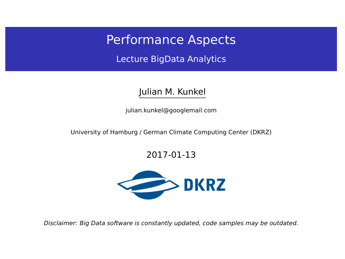## Performance Aspects

Lecture BigData Analytics

#### Julian M. Kunkel

<julian.kunkel@googlemail.com>

University of Hamburg / German Climate Computing Center (DKRZ)

#### 2017-01-13



Disclaimer: Big Data software is constantly updated, code samples may be outdated.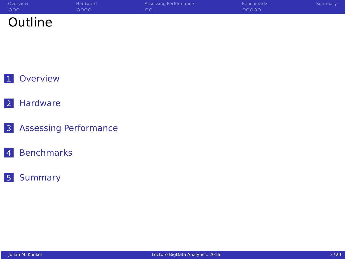| Overview | Hardware | Assessing Performance | Benchmarks | Summary |
|----------|----------|-----------------------|------------|---------|
| 000      | 0000     | OΟ                    | 00000      |         |
| Outline  |          |                       |            |         |

## [Hardware](#page-5-0)

- [Assessing Performance](#page-10-0)
- [Benchmarks](#page-13-0)
- [Summary](#page-19-0)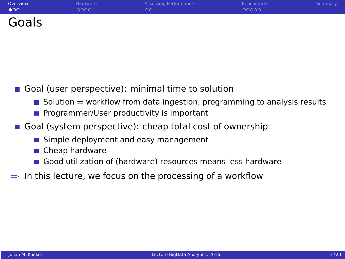<span id="page-2-0"></span>

| Overview     | Hardware | Assessing Performance | <b>Benchmarks</b> | Summary |
|--------------|----------|-----------------------|-------------------|---------|
| $\bullet$ 00 | 0000     | $\circ$               | 00000             |         |
| Goals        |          |                       |                   |         |

#### Goal (user perspective): minimal time to solution

- Solution  $=$  workflow from data ingestion, programming to analysis results
- **Programmer/User productivity is important**
- Goal (system perspective): cheap total cost of ownership
	- Simple deployment and easy management
	- Cheap hardware
	- Good utilization of (hardware) resources means less hardware
- $\Rightarrow$  In this lecture, we focus on the processing of a workflow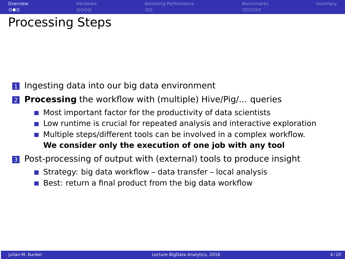- <sup>1</sup> Ingesting data into our big data environment
- **Processing** the workflow with (multiple) Hive/Pig/... queries
	- $\blacksquare$  Most important factor for the productivity of data scientists
	- Low runtime is crucial for repeated analysis and interactive exploration
	- Multiple steps/different tools can be involved in a complex workflow. **We consider only the execution of one job with any tool**

<sup>3</sup> Post-processing of output with (external) tools to produce insight

- Strategy: big data workflow data transfer local analysis
- Best: return a final product from the big data workflow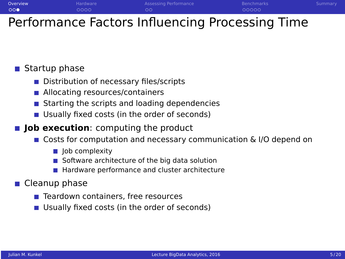

# Performance Factors Influencing Processing Time

#### Startup phase

- Distribution of necessary files/scripts
- Allocating resources/containers
- Starting the scripts and loading dependencies
- Usually fixed costs (in the order of seconds)
- **Job execution**: computing the product
	- Costs for computation and necessary communication & I/O depend on
		- $\blacksquare$  lob complexity
		- Software architecture of the big data solution
		- Hardware performance and cluster architecture
- Cleanup phase
	- Teardown containers, free resources
	- Usually fixed costs (in the order of seconds)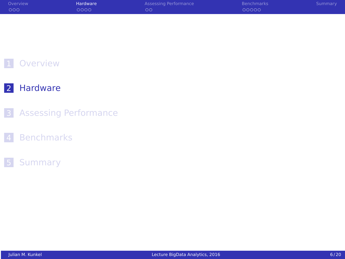<span id="page-5-0"></span>

| Overview | Hardware <sup>'</sup> | Assessing Performance | <b>Benchmarks</b> | Summary |
|----------|-----------------------|-----------------------|-------------------|---------|
| 000      | 0000                  | ററ                    | 00000             |         |

## [Hardware](#page-5-0)

- [Assessing Performance](#page-10-0)
- [Benchmarks](#page-13-0)

#### [Summary](#page-19-0)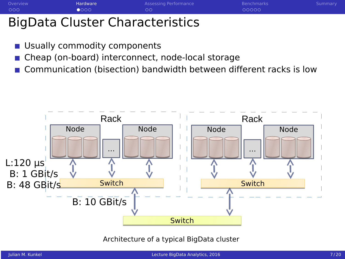| Overview | <b>Hardware</b> | Assessing Performance | <b>Benchmarks</b> | Summary |
|----------|-----------------|-----------------------|-------------------|---------|
| 000      | $\bullet$ 000   | ററ                    | 00000             |         |
|          |                 |                       |                   |         |

# BigData Cluster Characteristics

- Usually commodity components
- Cheap (on-board) interconnect, node-local storage
- Communication (bisection) bandwidth between different racks is low



Architecture of a typical BigData cluster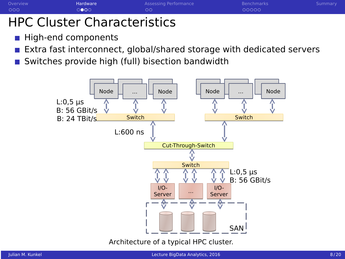[Overview](#page-2-0) Martin [Hardware](#page-5-0) [Assessing Performance](#page-10-0) [Benchmarks](#page-13-0) Benchmarks [Summary](#page-19-0)

## HPC Cluster Characteristics

- High-end components
- Extra fast interconnect, global/shared storage with dedicated servers
- Switches provide high (full) bisection bandwidth

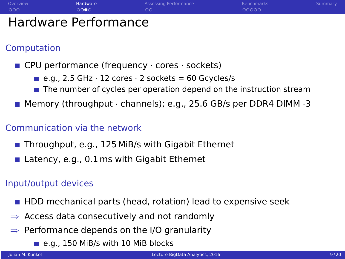

#### Computation

- $\blacksquare$  CPU performance (frequency  $\cdot$  cores  $\cdot$  sockets)
	- e.g., 2.5 GHz  $\cdot$  12 cores  $\cdot$  2 sockets = 60 Gcycles/s
	- $\blacksquare$  The number of cycles per operation depend on the instruction stream
- **Memory (throughput · channels); e.g., 25.6 GB/s per DDR4 DIMM**  $\cdot$ **3**

#### Communication via the network

- Throughput, e.g., 125 MiB/s with Gigabit Ethernet
- **Latency, e.g., 0.1 ms with Gigabit Ethernet**

#### Input/output devices

- **HDD** mechanical parts (head, rotation) lead to expensive seek
- $\Rightarrow$  Access data consecutively and not randomly
- $\Rightarrow$  Performance depends on the I/O granularity
	- e.g., 150 MiB/s with 10 MiB blocks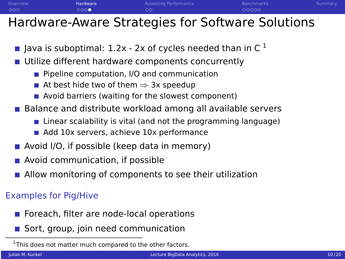

## Hardware-Aware Strategies for Software Solutions

- **Java is suboptimal: 1.2x 2x of cycles needed than in C**  $^1$
- **Utilize different hardware components concurrently** 
	- **Pipeline computation, I/O and communication**
	- At best hide two of them  $\Rightarrow$  3x speedup
	- Avoid barriers (waiting for the slowest component)
- Balance and distribute workload among all available servers
	- $\blacksquare$  Linear scalability is vital (and not the programming language)
	- Add 10x servers, achieve 10x performance
- $\blacksquare$  Avoid I/O, if possible (keep data in memory)
- **Avoid communication, if possible**
- Allow monitoring of components to see their utilization

## Examples for Pig/Hive

- Foreach, filter are node-local operations
- Sort, group, join need communication

<sup>&</sup>lt;sup>1</sup>This does not matter much compared to the other factors.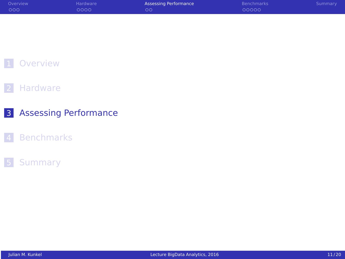<span id="page-10-0"></span>

| Overview | Hardware | <b>Assessing Performance</b> | <b>Benchmarks</b> | Summary |
|----------|----------|------------------------------|-------------------|---------|
| ಂಂ       | 0000     | $\circ$                      | 00000             |         |

#### [Hardware](#page-5-0)

#### [Assessing Performance](#page-10-0)

#### [Benchmarks](#page-13-0)

## [Summary](#page-19-0)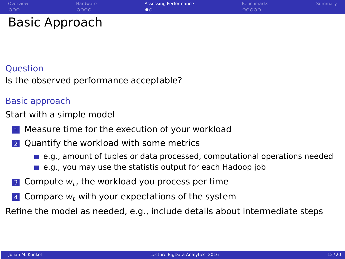## **Ouestion**

Is the observed performance acceptable?

#### Basic approach

Start with a simple model

- **1** Measure time for the execution of your workload
- 2 Quantify the workload with some metrics
	- **e.g., amount of tuples or data processed, computational operations needed**
	- e.g., you may use the statistis output for each Hadoop job
- $3$  Compute  $w_t$ , the workload you process per time
- 4 Compare  $w_t$  with your expectations of the system

Refine the model as needed, e.g., include details about intermediate steps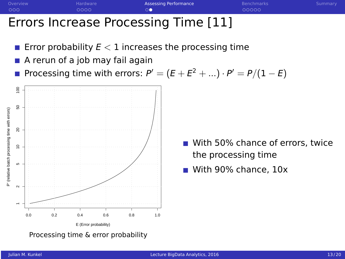

## Errors Increase Processing Time [11]

- Error probability  $E < 1$  increases the processing time  $\mathcal{L}_{\mathcal{A}}$
- A rerun of a job may fail again

Processing time with errors:  $\mathsf{P}'=(\mathsf{E}+\mathsf{E}^2+...)\cdot\mathsf{P}'=\mathsf{P}/(1-\mathsf{E})$ 



Processing time & error probability

With 50% chance of errors, twice the processing time

With 90% chance, 10x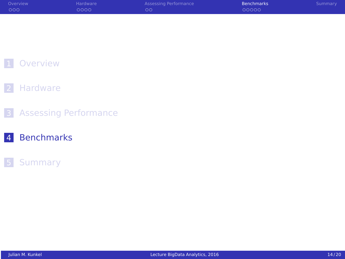<span id="page-13-0"></span>

| Overview | <b>Hardware</b> | Assessing Performance | <b>Benchmarks</b> | Summary |
|----------|-----------------|-----------------------|-------------------|---------|
| 000      | 0000            | $\circ$               | 00000             |         |

#### [Hardware](#page-5-0)

[Assessing Performance](#page-10-0)

#### [Benchmarks](#page-13-0)

## [Summary](#page-19-0)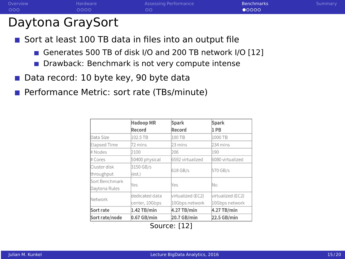

# Daytona GraySort

Sort at least 100 TB data in files into an output file

- Generates 500 TB of disk I/O and 200 TB network I/O [12]
- Drawback: Benchmark is not very compute intense
- Data record: 10 byte key, 90 byte data  $\mathcal{L}^{\text{max}}$
- Performance Metric: sort rate (TBs/minute)

| <b>Hadoop MR</b> | Spark             | Spark             |  |
|------------------|-------------------|-------------------|--|
| Record           | Record            | 1 PB              |  |
| 102.5 TB         | 100 TB            | 1000 TB           |  |
| 72 mins          | 23 mins           | 234 mins          |  |
| 2100             | 206               | 190               |  |
| 50400 physical   | 6592 virtualized  | 6080 virtualized  |  |
| 3150 GB/s        |                   | 570 GB/s          |  |
| (est.)           |                   |                   |  |
|                  |                   | No                |  |
|                  |                   |                   |  |
| dedicated data   | virtualized (EC2) | virtualized (EC2) |  |
| center, 10Gbps   | 10Gbps network    | 10Gbps network    |  |
| 1.42 TB/min      | 4.27 TB/min       | 4.27 TB/min       |  |
| $0.67$ GB/min    | 20.7 GB/min       | 22.5 GB/min       |  |
|                  | Yes               | 618 GB/s<br>Nes   |  |

Source: [12]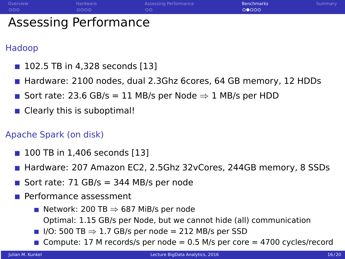| Overview | Hardware              | Assessing Performance | Benchmarks | Summary |
|----------|-----------------------|-----------------------|------------|---------|
| - റററ    | ററററ                  | ററ                    | 00000      |         |
|          | Assessing Performance |                       |            |         |

## Hadoop

- **102.5 TB in 4.328 seconds [13]**
- **Hardware: 2100 nodes, dual 2.3Ghz 6cores, 64 GB memory, 12 HDDs**
- Sort rate: 23.6 GB/s = 11 MB/s per Node  $\Rightarrow$  1 MB/s per HDD
- Clearly this is suboptimal!

#### Apache Spark (on disk)

- 100 TB in 1,406 seconds [13]
- **Hardware: 207 Amazon EC2, 2.5Ghz 32vCores, 244GB memory, 8 SSDs**
- Sort rate:  $71$  GB/s = 344 MB/s per node
- **Performance assessment** 
	- Network: 200 TB  $\Rightarrow$  687 MiB/s per node
		- Optimal: 1.15 GB/s per Node, but we cannot hide (all) communication
	- I/O: 500 TB  $\Rightarrow$  1.7 GB/s per node = 212 MB/s per SSD
	- Compute: 17 M records/s per node =  $0.5$  M/s per core = 4700 cycles/record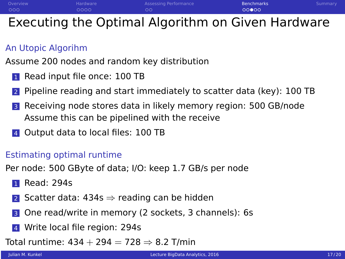[Overview](#page-2-0) Mardware [Hardware](#page-5-0) [Assessing Performance](#page-10-0) **[Benchmarks](#page-13-0) Su**mmary [Summary](#page-19-0)  $000$  $0000$  $00$  $00000$ 

# Executing the Optimal Algorithm on Given Hardware

## An Utopic Algorihm

Assume 200 nodes and random key distribution

- **1** Read input file once: 100 TB
- <sup>2</sup> Pipeline reading and start immediately to scatter data (key): 100 TB
- <sup>3</sup> Receiving node stores data in likely memory region: 500 GB/node Assume this can be pipelined with the receive
- 4 Output data to local files: 100 TB

## Estimating optimal runtime

Per node: 500 GByte of data; I/O: keep 1.7 GB/s per node

- **1** Read: 294s
- 2 Scatter data:  $434s \Rightarrow$  reading can be hidden
- <sup>3</sup> One read/write in memory (2 sockets, 3 channels): 6s
- 4 Write local file region: 294s
- Total runtime:  $434 + 294 = 728 \Rightarrow 8.2$  T/min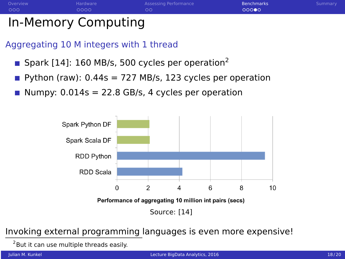

# In-Memory Computing

Aggregating 10 M integers with 1 thread

- Spark [14]: 160 MB/s, 500 cycles per operation<sup>2</sup>
- **Python (raw): 0.44s = 727 MB/s, 123 cycles per operation**
- Numpy:  $0.014s = 22.8$  GB/s, 4 cycles per operation



## Invoking external programming languages is even more expensive!

<sup>2</sup> But it can use multiple threads easily.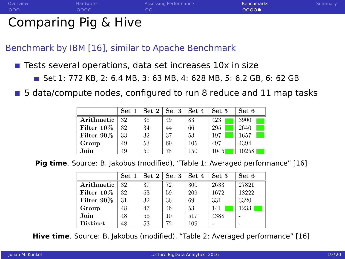

# Comparing Pig & Hive

Benchmark by IBM [16], similar to Apache Benchmark

- Tests several operations, data set increases 10x in size
	- Set 1: 772 KB, 2: 6.4 MB, 3: 63 MB, 4: 628 MB, 5: 6.2 GB, 6: 62 GB
- **5** data/compute nodes, configured to run 8 reduce and 11 map tasks

|            | Set 1 | $\operatorname{Set} 2$ | Set 3 | Set 4 | Set 5 | Set 6 |
|------------|-------|------------------------|-------|-------|-------|-------|
| Arithmetic | 32    | 36                     | 49    | 83    | 423   | 3900  |
| Filter 10% | 32    | 34                     | 44    | 66    | 295   | 2640  |
| Filter 90% | 33    | 32                     | 37    | 53    | 197   | 1657  |
| Group      | 49    | 53                     | 69    | 105   | 497   | 4394  |
| Join       | 49    | 50                     | 78    | 150   | 1045  | 10258 |

**Pig time**. Source: B. Jakobus (modified), "Table 1: Averaged performance" [16]

|            | Set 1 | Set 2 | Set 3 | Set 4 | Set 5 | Set 6                    |
|------------|-------|-------|-------|-------|-------|--------------------------|
| Arithmetic | 32    | 37.   | 72    | 300   | 2633  | 27821                    |
| Filter 10% | 32    | 53.   | 59    | 209   | 1672  | 18222                    |
| Filter 90% | 31    | 32.   | 36    | 69    | 331   | 3320                     |
| Group      | 48    | 47.   | 46    | 53    | 141   | 1233.                    |
| Join       | 48    | 56.   | $10-$ | 517   | 4388  | ٠                        |
| Distinct   | 48    | 53.   | 72    | 109   |       | $\overline{\phantom{0}}$ |

**Hive time**. Source: B. Jakobus (modified), "Table 2: Averaged performance" [16]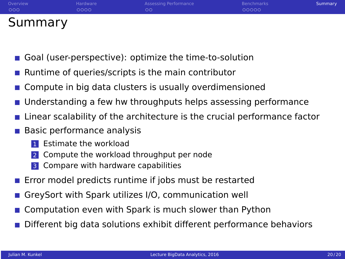<span id="page-19-0"></span>

| Overview | Hardware | Assessing Performance | <b>Benchmarks</b> | Summary |
|----------|----------|-----------------------|-------------------|---------|
| 000      | 0000     | nc                    | 00000             |         |
| Summary  |          |                       |                   |         |

- Goal (user-perspective): optimize the time-to-solution
- Runtime of queries/scripts is the main contributor
- Compute in big data clusters is usually overdimensioned
- Understanding a few hw throughputs helps assessing performance
- Linear scalability of the architecture is the crucial performance factor
- **Basic performance analysis** 
	- Estimate the workload
	- 2 Compute the workload throughput per node
	- **3** Compare with hardware capabilities
- **E** Frror model predicts runtime if jobs must be restarted
- GreySort with Spark utilizes I/O, communication well
- Computation even with Spark is much slower than Python
- Different big data solutions exhibit different performance behaviors